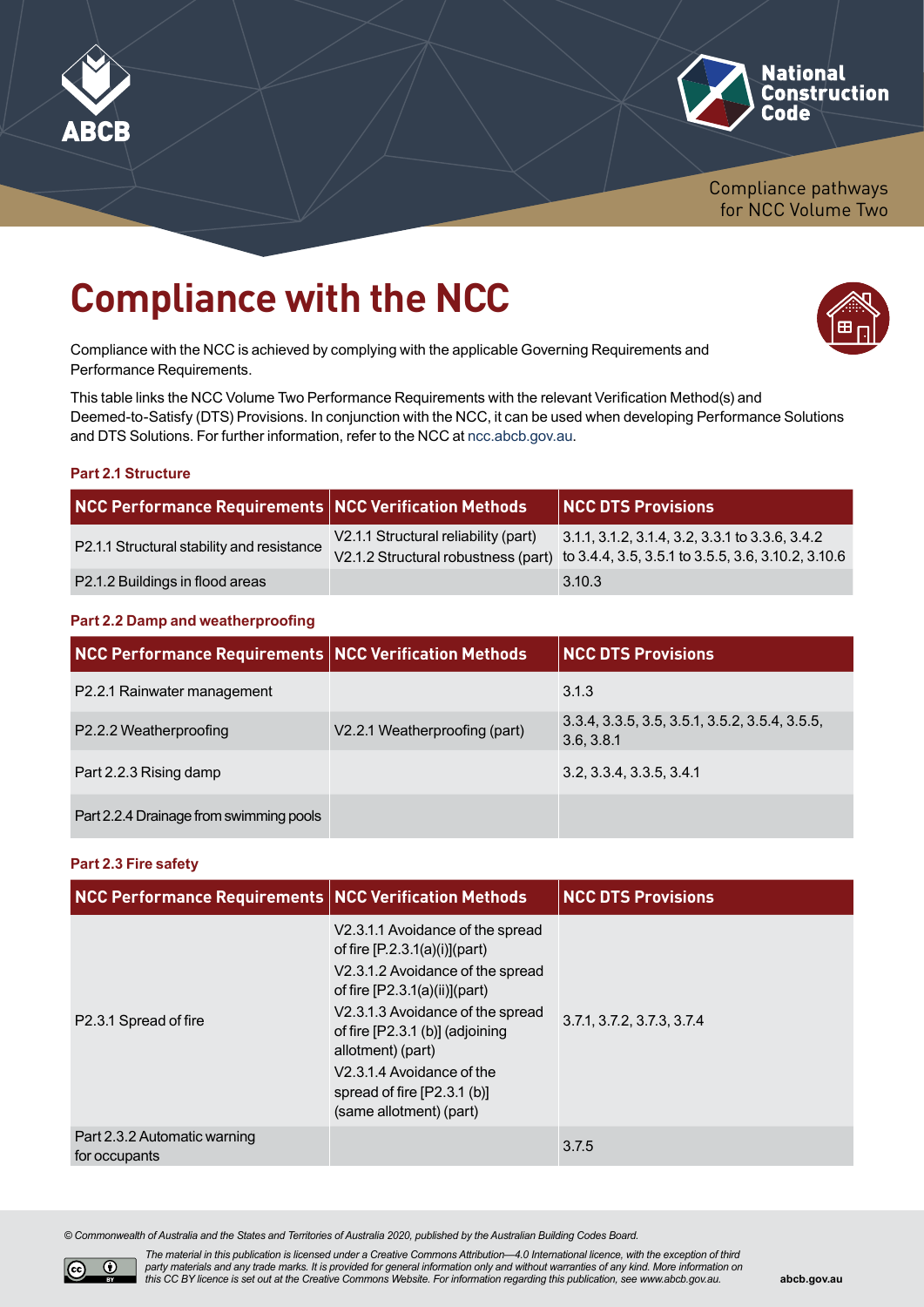



Compliance pathways for NCC Volume Two

# **Compliance with the NCC**

Compliance with the NCC is achieved by complying with the applicable Governing Requirements and Performance Requirements.

This table links the NCC Volume Two Performance Requirements with the relevant Verification Method(s) and Deemed-to-Satisfy (DTS) Provisions. In conjunction with the NCC, it can be used when developing Performance Solutions and DTS Solutions. For further information, refer to the NCC at [ncc.abcb.gov.au](https://ncc.abcb.gov.au).

#### **Part 2.1 Structure**

| NCC Performance Requirements NCC Verification Methods |                                      | <b>NCC DTS Provisions</b>                                                                                                                   |
|-------------------------------------------------------|--------------------------------------|---------------------------------------------------------------------------------------------------------------------------------------------|
| P2.1.1 Structural stability and resistance            | V2.1.1 Structural reliability (part) | $3.1.1, 3.1.2, 3.1.4, 3.2, 3.3.1$ to 3.3.6, 3.4.2<br>V2.1.2 Structural robustness (part) to 3.4.4, 3.5, 3.5.1 to 3.5.5, 3.6, 3.10.2, 3.10.6 |
| P2.1.2 Buildings in flood areas                       |                                      | 3.10.3                                                                                                                                      |

## **Part 2.2 Damp and weatherproofing**

| <b>NCC Performance Requirements NCC Verification Methods</b> |                               | <b>NCC DTS Provisions</b>                                    |
|--------------------------------------------------------------|-------------------------------|--------------------------------------------------------------|
| P2.2.1 Rainwater management                                  |                               | 3.1.3                                                        |
| P2.2.2 Weatherproofing                                       | V2.2.1 Weatherproofing (part) | 3.3.4, 3.3.5, 3.5, 3.5.1, 3.5.2, 3.5.4, 3.5.5,<br>3.6, 3.8.1 |
| Part 2.2.3 Rising damp                                       |                               | 3.2, 3.3.4, 3.3.5, 3.4.1                                     |
| Part 2.2.4 Drainage from swimming pools                      |                               |                                                              |

## **Part 2.3 Fire safety**

| <b>NCC Performance Requirements NCC Verification Methods</b> |                                                                                                                                                                                                                                                                                                                                   | <b>NCC DTS Provisions</b>  |
|--------------------------------------------------------------|-----------------------------------------------------------------------------------------------------------------------------------------------------------------------------------------------------------------------------------------------------------------------------------------------------------------------------------|----------------------------|
| P2.3.1 Spread of fire                                        | V2.3.1.1 Avoidance of the spread<br>of fire $[P.2.3.1(a)(i)]$ (part)<br>V2.3.1.2 Avoidance of the spread<br>of fire $[P2.3.1(a)(ii)]$ (part)<br>V2.3.1.3 Avoidance of the spread<br>of fire [P2.3.1 (b)] (adjoining<br>allotment) (part)<br>V2.3.1.4 Avoidance of the<br>spread of fire $[P2.3.1 (b)]$<br>(same allotment) (part) | 3.7.1, 3.7.2, 3.7.3, 3.7.4 |
| Part 2.3.2 Automatic warning<br>for occupants                |                                                                                                                                                                                                                                                                                                                                   | 3.7.5                      |

*© Commonwealth of Australia and the States and Territories of Australia 2020, published by the Australian Building Codes Board.*



*The material in this publication is licensed under a Creative Commons Attribution—4.0 International licence, with the exception of third party materials and any trade marks. It is provided for general information only and without warranties of any kind. More information on this CC BY licence is set out at the Creative Commons Website. For information regarding this publication, see [www.abcb.gov.au.](http://abcb.gov.au)*